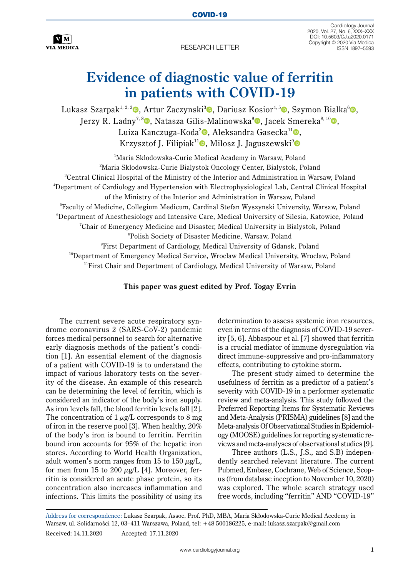

**RESEARCH LETTER** 

Cardiology Journal 2020, Vol. 27, No. 6, XXX–XXX DOI: 10.5603/CJ.a2020.0171 Copyright © 2020 Via Medica

## **Evidence of diagnostic value of ferritin in patients with COVID-19**

Lukasz Szarpak<sup>1[,](https://orcid.org/0000-0002-9305-2867) 2, 3</sup> , Artur Zaczynski<sup>3</sup> , Dariusz Kosior<sup>4, 5</sup> , Szymon Bialka<sup>6</sup> . Jerzy R. Ladny<sup>7[,](https://orcid.org/0000-0003-4167-1962) 8</sup> , Natasza Gilis-Malinowska<sup>[9](https://orcid.org/0000-0002-6633-202X)</sup> , Jacek Smereka<sup>8, 1[0](https://orcid.org/0000-0002-1427-4796)</sup>  $\blacksquare$ . Luiza Kanczuga-Koda<sup>[2](https://orcid.org/0000-0001-6261-2596)</sup>**0**, Aleksandra Gasecka<sup>11</sup>**0**, Krzysztof J. Filipiak<sup>11</sup>**.** Milosz J. Jaguszewski<sup>9</sup>

<sup>1</sup>Maria Sklodowska-Curie Medical Academy in Warsaw, Poland 2 Maria Sklodowska-Curie Bialystok Oncology Center, Bialystok, Poland 3 Central Clinical Hospital of the Ministry of the Interior and Administration in Warsaw, Poland 4 Department of Cardiology and Hypertension with Electrophysiological Lab, Central Clinical Hospital of the Ministry of the Interior and Administration in Warsaw, Poland  $^5$ Faculty of Medicine, Collegium Medicum, Cardinal Stefan Wyszynski University, Warsaw, Poland  $^6$ Department of Anesthesiology and Intensive Care, Medical University of Silesia, Katowice, Poland  ${\rm ^7}$ Chair of Emergency Medicine and Disaster, Medical University in Bialystok, Poland 8 Polish Society of Disaster Medicine, Warsaw, Poland 9 First Department of Cardiology, Medical University of Gdansk, Poland <sup>10</sup>Department of Emergency Medical Service, Wroclaw Medical University, Wroclaw, Poland 11First Chair and Department of Cardiology, Medical University of Warsaw, Poland

## **This paper was guest edited by Prof. Togay Evrin**

The current severe acute respiratory syndrome coronavirus 2 (SARS-CoV-2) pandemic forces medical personnel to search for alternative early diagnosis methods of the patient's condition [1]. An essential element of the diagnosis of a patient with COVID-19 is to understand the impact of various laboratory tests on the severity of the disease. An example of this research can be determining the level of ferritin, which is considered an indicator of the body's iron supply. As iron levels fall, the blood ferritin levels fall [2]. The concentration of  $1 \mu g/L$  corresponds to 8 mg of iron in the reserve pool [3]. When healthy, 20% of the body's iron is bound to ferritin. Ferritin bound iron accounts for 95% of the hepatic iron stores. According to World Health Organization, adult women's norm ranges from 15 to 150  $\mu$ g/L, for men from 15 to 200  $\mu$ g/L [4]. Moreover, ferritin is considered an acute phase protein, so its concentration also increases inflammation and infections. This limits the possibility of using its determination to assess systemic iron resources, even in terms of the diagnosis of COVID-19 severity [5, 6]. Abbaspour et al. [7] showed that ferritin is a crucial mediator of immune dysregulation via direct immune-suppressive and pro-inflammatory effects, contributing to cytokine storm.

The present study aimed to determine the usefulness of ferritin as a predictor of a patient's severity with COVID-19 in a performer systematic review and meta-analysis. This study followed the Preferred Reporting Items for Systematic Reviews and Meta-Analysis (PRISMA) guidelines [8] and the Meta-analysis Of Observational Studies in Epidemiology (MOOSE) guidelines for reporting systematic reviews and meta-analyses of observational studies [9].

Three authors (L.S., J.S., and S.B) independently searched relevant literature. The current Pubmed, Embase, Cochrane, Web of Science, Scopus (from database inception to November 10, 2020) was explored. The whole search strategy used free words, including "ferritin" AND "COVID-19"

Address for correspondence: Lukasz Szarpak, Assoc. Prof. PhD, MBA, Maria Skłodowska-Curie Medical Acedemy in Warsaw, ul. Solidarności 12, 03–411 Warszawa, Poland, tel: +48 500186225, e-mail: lukasz.szarpak@gmail.com Received: 14.11.2020 Accepted: 17.11.2020